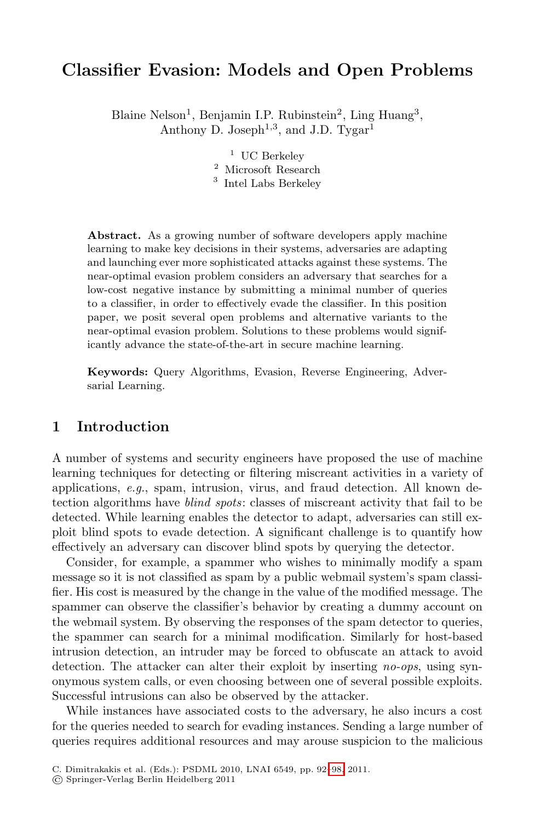# **Classifier Evasion: Models and Open Problems**

Blaine Nelson<sup>1</sup>, Benjamin I.P. Rubinstein<sup>2</sup>, Ling Huang<sup>3</sup>, Anthony D. Joseph<sup>1,3</sup>, and J.D. Tygar<sup>1</sup>

> $1$  UC Berkeley <sup>2</sup> Microsoft Research <sup>3</sup> Intel Labs Berkeley

Abstract. As a growing number of software developers apply machine learning to make key decisions in their systems, adversaries are adapting and launching ever more sophisticated attacks against these systems. The near-optimal evasion problem considers an adversary that searches for a low-cost negative instance by submitting a minimal number of queries to a classifier, in order to effectively evade the classifier. In this position paper, we posit several open problems and alternative variants to the near-optimal evasion problem. Solutions to these problems would significantly advance the state-of-the-art in secure machine learning.

**Keywords:** Query Algorithms, Evasion, Reverse Engineering, Adversarial Learning.

## **1 Introduction**

A number of systems and security engineers have proposed the use of machine learning techniques for detecting or filtering miscreant activities in a variety of applications, *e.g.*, spam, intrusion, virus, and fraud detection. All known detection algorithms have *blind spots*: classes of miscreant activity that fail to be detected. While learning enables the detector to adapt, adversaries can still exploit blind spots to evade detection. A significant challenge is to quantify how effectively an adversary can discover blind spots by querying the detector.

Consider, for example, a spammer who wishes to minimally modify a spam message so it is not classified as spam by a public webmail system's spam classifier. His cost is measured by the change in the value of the modified message. The spammer can observe the classifier's behavior by creating a dummy account on the webmail system. By observing the responses of the spam detector to queries, the spammer can search for a minimal modification. Similarly for host-based intrusion detection, an intruder may be forced to obfuscate an attack to avoid detection. The attacker can alter their exploit by inserting *no-ops*, using synonymous system calls, or even choosing between one of several possible exploits. Successful intrusions can also be observed by the attacker.

While instances have associated costs to the adversary, he also incurs a cost for the queries needed to search for evading instances. Sending a large number of queries requires additional resources and may arouse suspicion to the malicious

C. Dimitrakakis et al. (Eds.): PSDML 2010, LNAI 6549, pp. 92[–98,](#page-6-0) 2011.

Springer-Verlag Berlin Heidelberg 2011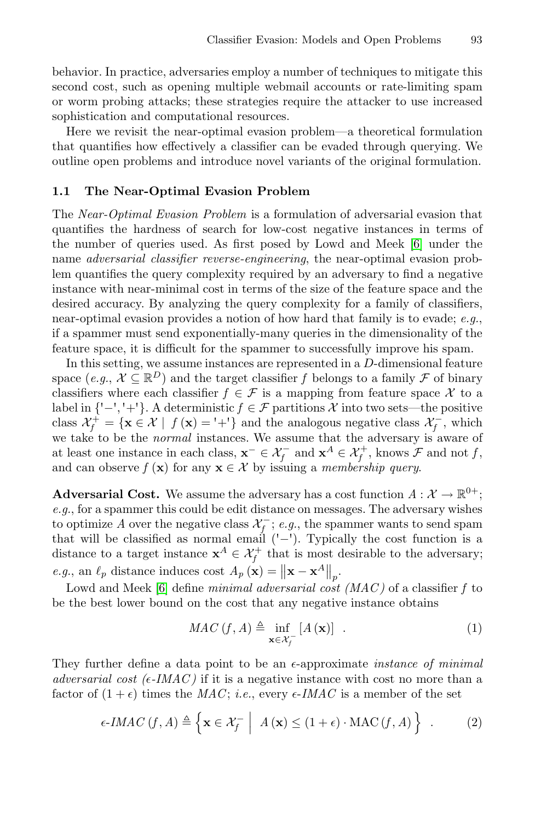behavior. In practice, adversaries employ a number of techniques to mitigate this second cost, such as opening multiple webmail accounts or rate-limiting spam or worm probing attacks; these strategies require the attacker to use increased sophistication and computational resources.

Here we revisit the near-optimal evasion problem—a theoretical formulation that quantifies how effectively a classifier can be evaded through querying. We outline open problems and introduce novel variants of the original formulation.

#### **1.1 The Near-Optimal Evasion Problem**

The *Near-Optimal Evasion Problem* is a formulation of adversarial evasion that quantifies the hardness of search for low-cost negative instances in terms of the number of queries used. As first posed by Lowd and Meek [\[6\]](#page-6-1) under the name *adversarial classifier reverse-engineering*, the near-optimal evasion problem quantifies the query complexity required by an adversary to find a negative instance with near-minimal cost in terms of the size of the feature space and the desired accuracy. By analyzing the query complexity for a family of classifiers, near-optimal evasion provides a notion of how hard that family is to evade; *e.g.*, if a spammer must send exponentially-many queries in the dimensionality of the feature space, it is difficult for the spammer to successfully improve his spam.

In this setting, we assume instances are represented in a D-dimensional feature space  $(e.g., \mathcal{X} \subseteq \mathbb{R}^D)$  and the target classifier f belongs to a family F of binary classifiers where each classifier  $f \in \mathcal{F}$  is a mapping from feature space X to a label in  $\{-, +\}$ . A deterministic *f* ∈ *F* partitions *X* into two sets—the positive class  $\mathcal{X}_f^+ = {\mathbf{x} \in \mathcal{X} \mid f(\mathbf{x}) = ' \text{+}'}$  and the analogous negative class  $\mathcal{X}_f^-$ , which we take to be the *normal* instances. We assume that the adversary is aware of at least one instance in each class,  $\mathbf{x}^- \in \mathcal{X}_f^-$  and  $\mathbf{x}^A \in \mathcal{X}_f^+$ , knows  $\mathcal F$  and not  $f$ , and can observe  $f(\mathbf{x})$  for any  $\mathbf{x} \in \mathcal{X}$  by issuing a *membership query*.

**Adversarial Cost.** We assume the adversary has a cost function  $A: \mathcal{X} \to \mathbb{R}^{0+}$ ; *e.g.*, for a spammer this could be edit distance on messages. The adversary wishes to optimize *A* over the negative class  $\mathcal{X}^-_f$ ; *e.g.*, the spammer wants to send spam that will be classified as normal email  $(′-′)$ . Typically the cost function is a distance to a target instance  $\mathbf{x}^A \in \mathcal{X}_f^+$  that is most desirable to the adversary; *e.g.*, an  $\ell_p$  distance induces cost  $A_p(\mathbf{x}) = ||\mathbf{x} - \mathbf{x}^A||_p$ .

Lowd and Meek [\[6\]](#page-6-1) define *minimal adversarial cost (MAC )* of a classifier *f* to be the best lower bound on the cost that any negative instance obtains

<span id="page-1-0"></span>
$$
MAC\left(f, A\right) \triangleq \inf_{\mathbf{x} \in \mathcal{X}_f^{-}} \left[A\left(\mathbf{x}\right)\right] \quad . \tag{1}
$$

They further define a data point to be an  $\epsilon$ -approximate *instance of minimal adversarial cost*  $(\epsilon$ -*IMAC*) if it is a negative instance with cost no more than a factor of  $(1 + \epsilon)$  times the *MAC*; *i.e.*, every  $\epsilon$ -*IMAC* is a member of the set

$$
\epsilon\text{-}IMAC\,(f,A) \triangleq \left\{ \mathbf{x} \in \mathcal{X}_f^- \middle| \ A\left(\mathbf{x}\right) \leq (1+\epsilon) \cdot \text{MAC}\,(f,A) \right\} \ . \tag{2}
$$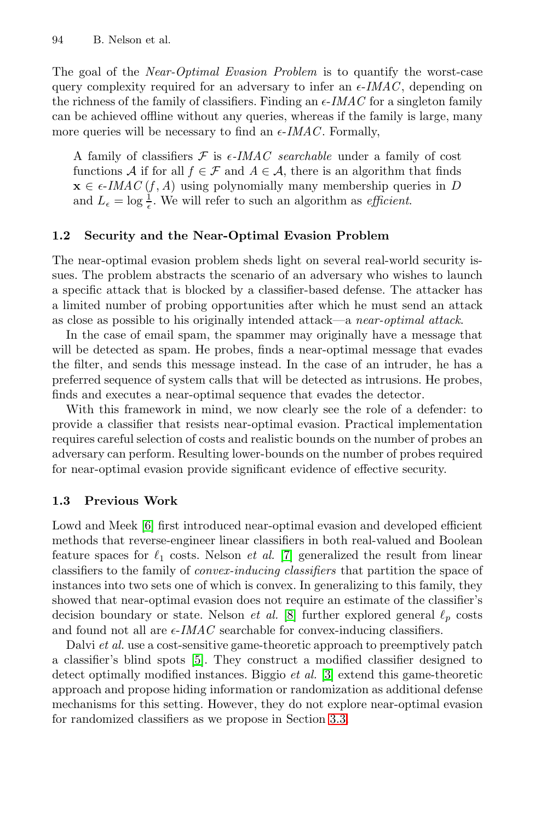The goal of the *Near-Optimal Evasion Problem* is to quantify the worst-case query complexity required for an adversary to infer an  $\epsilon$ -*IMAC*, depending on the richness of the family of classifiers. Finding an  $\epsilon$ -*IMAC* for a singleton family can be achieved offline without any queries, whereas if the family is large, many more queries will be necessary to find an  $\epsilon$ -*IMAC*. Formally,

A family of classifiers  $\mathcal F$  is  $\epsilon$ -*IMAC searchable* under a family of cost functions A if for all  $f \in \mathcal{F}$  and  $A \in \mathcal{A}$ , there is an algorithm that finds  $\mathbf{x} \in \epsilon$ -*IMAC* (*f*, *A*) using polynomially many membership queries in *D* and  $L_{\epsilon} = \log \frac{1}{\epsilon}$ . We will refer to such an algorithm as *efficient*.

### **1.2 Security and the Near-Optimal Evasion Problem**

The near-optimal evasion problem sheds light on several real-world security issues. The problem abstracts the scenario of an adversary who wishes to launch a specific attack that is blocked by a classifier-based defense. The attacker has a limited number of probing opportunities after which he must send an attack as close as possible to his originally intended attack—a *near-optimal attack*.

In the case of email spam, the spammer may originally have a message that will be detected as spam. He probes, finds a near-optimal message that evades the filter, and sends this message instead. In the case of an intruder, he has a preferred sequence of system calls that will be detected as intrusions. He probes, finds and executes a near-optimal sequence that evades the detector.

With this framework in mind, we now clearly see the role of a defender: to provide a classifier that resists near-optimal evasion. Practical implementation requires careful selection of costs and realistic bounds on the number of probes an adversary can perform. Resulting lower-bounds on the number of probes required for near-optimal evasion provide significant evidence of effective security.

## **1.3 Previous Work**

Lowd and Meek [\[6\]](#page-6-1) first introduced near-optimal evasion and developed efficient methods that reverse-engineer linear classifiers in both real-valued and Boolean feature spaces for  $\ell_1$  costs. Nelson *et al.* [\[7\]](#page-6-2) generalized the result from linear classifiers to the family of *convex-inducing classifiers* that partition the space of instances into two sets one of which is convex. In generalizing to this family, they showed that near-optimal evasion does not require an estimate of the classifier's decision boundary or state. Nelson *et al.* [\[8\]](#page-6-3) further explored general  $\ell_p$  costs and found not all are  $\epsilon$ -*IMAC* searchable for convex-inducing classifiers.

Dalvi *et al.* use a cost-sensitive game-theoretic approach to preemptively patch a classifier's blind spots [\[5\]](#page-6-4). They construct a modified classifier designed to detect optimally modified instances. Biggio *et al.* [\[3\]](#page-6-5) extend this game-theoretic approach and propose hiding information or randomization as additional defense mechanisms for this setting. However, they do not explore near-optimal evasion for randomized classifiers as we propose in Section [3.3.](#page-5-0)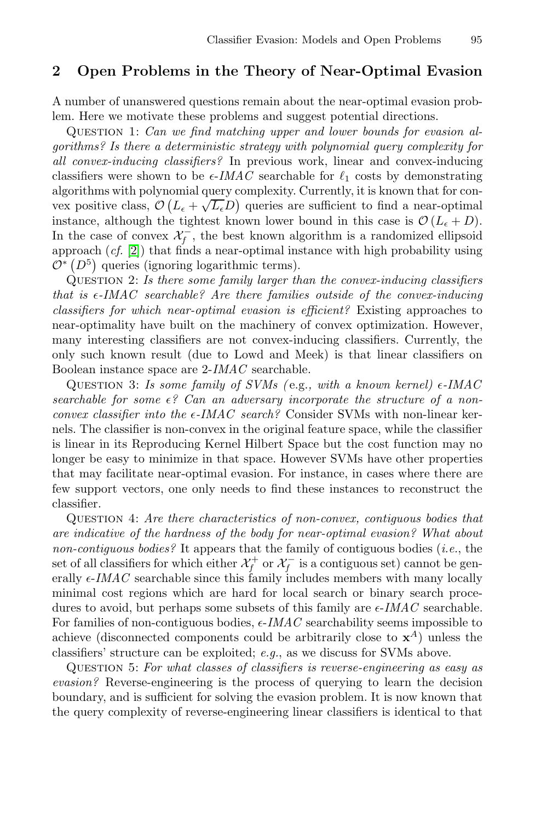### **2 Open Problems in the Theory of Near-Optimal Evasion**

A number of unanswered questions remain about the near-optimal evasion problem. Here we motivate these problems and suggest potential directions.

Question 1: *Can we find matching upper and lower bounds for evasion algorithms? Is there a deterministic strategy with polynomial query complexity for all convex-inducing classifiers?* In previous work, linear and convex-inducing classifiers were shown to be  $\epsilon$ -*IMAC* searchable for  $\ell_1$  costs by demonstrating algorithms with polynomial query complexity. Currently, it is known that for conalgorithms with polynomial query complexity. Currently, it is known that for convex positive class,  $\mathcal{O}(L_{\epsilon} + \sqrt{L_{\epsilon}}D)$  queries are sufficient to find a near-optimal instance, although the tightest known lower bound in this case is  $\mathcal{O}(L_{\epsilon}+D)$ . In the case of convex  $\mathcal{X}^-_f$ , the best known algorithm is a randomized ellipsoid approach (*cf.* [\[2\]](#page-6-6)) that finds a near-optimal instance with high probability using  $\mathcal{O}^*(D^5)$  queries (ignoring logarithmic terms).

Question 2: *Is there some family larger than the convex-inducing classifiers that is -IMAC searchable? Are there families outside of the convex-inducing classifiers for which near-optimal evasion is efficient?* Existing approaches to near-optimality have built on the machinery of convex optimization. However, many interesting classifiers are not convex-inducing classifiers. Currently, the only such known result (due to Lowd and Meek) is that linear classifiers on Boolean instance space are 2-*IMAC* searchable.

QUESTION 3: *Is some family of SVMs (e.g., with a known kernel)*  $\epsilon$ -*IMAC searchable for some ? Can an adversary incorporate the structure of a nonconvex classifier into the*  $\epsilon$ -*IMAC search?* Consider SVMs with non-linear kernels. The classifier is non-convex in the original feature space, while the classifier is linear in its Reproducing Kernel Hilbert Space but the cost function may no longer be easy to minimize in that space. However SVMs have other properties that may facilitate near-optimal evasion. For instance, in cases where there are few support vectors, one only needs to find these instances to reconstruct the classifier.

Question 4: *Are there characteristics of non-convex, contiguous bodies that are indicative of the hardness of the body for near-optimal evasion? What about non-contiguous bodies?* It appears that the family of contiguous bodies (*i.e.*, the set of all classifiers for which either  $\mathcal{X}^+_f$  or  $\mathcal{X}^-_f$  is a contiguous set) cannot be generally  $\epsilon$ -*IMAC* searchable since this family includes members with many locally minimal cost regions which are hard for local search or binary search procedures to avoid, but perhaps some subsets of this family are  $\epsilon$ -*IMAC* searchable. For families of non-contiguous bodies,  $\epsilon$ -*IMAC* searchability seems impossible to achieve (disconnected components could be arbitrarily close to  $x^A$ ) unless the classifiers' structure can be exploited; *e.g.*, as we discuss for SVMs above.

Question 5: *For what classes of classifiers is reverse-engineering as easy as evasion?* Reverse-engineering is the process of querying to learn the decision boundary, and is sufficient for solving the evasion problem. It is now known that the query complexity of reverse-engineering linear classifiers is identical to that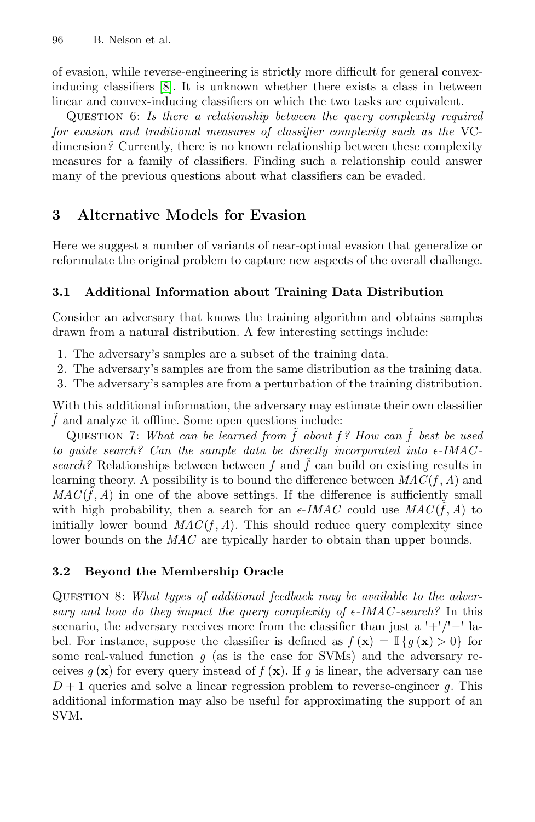of evasion, while reverse-engineering is strictly more difficult for general convexinducing classifiers [\[8\]](#page-6-3). It is unknown whether there exists a class in between linear and convex-inducing classifiers on which the two tasks are equivalent.

Question 6: *Is there a relationship between the query complexity required for evasion and traditional measures of classifier complexity such as the* VCdimension*?* Currently, there is no known relationship between these complexity measures for a family of classifiers. Finding such a relationship could answer many of the previous questions about what classifiers can be evaded.

# **3 Alternative Models for Evasion**

Here we suggest a number of variants of near-optimal evasion that generalize or reformulate the original problem to capture new aspects of the overall challenge.

## **3.1 Additional Information about Training Data Distribution**

Consider an adversary that knows the training algorithm and obtains samples drawn from a natural distribution. A few interesting settings include:

- 1. The adversary's samples are a subset of the training data.
- 2. The adversary's samples are from the same distribution as the training data.
- 3. The adversary's samples are from a perturbation of the training distribution.

With this additional information, the adversary may estimate their own classifier *˜f* and analyze it offline. Some open questions include:

Question 7: *What can be learned from ˜f about f ? How can ˜f best be used to guide search? Can the sample data be directly incorporated into -IMAC search?* Relationships between between  $f$  and  $\tilde{f}$  can build on existing results in learning theory. A possibility is to bound the difference between *MAC*(*f* , *A*) and  $MAC(f, A)$  in one of the above settings. If the difference is sufficiently small with high probability, then a search for an  $\epsilon$ -*IMAC* could use  $MAC(f, A)$  to initially lower bound  $MAC(f, A)$ . This should reduce query complexity since lower bounds on the *MAC* are typically harder to obtain than upper bounds.

## **3.2 Beyond the Membership Oracle**

Question 8: *What types of additional feedback may be available to the adversary and how do they impact the query complexity of*  $\epsilon$ *-IMAC-search?* In this scenario, the adversary receives more from the classifier than just a  $'$ +'/'-' label. For instance, suppose the classifier is defined as  $f(\mathbf{x}) = \mathbb{I}\{g(\mathbf{x}) > 0\}$  for some real-valued function  $g$  (as is the case for SVMs) and the adversary receives  $g(\mathbf{x})$  for every query instead of  $f(\mathbf{x})$ . If  $g$  is linear, the adversary can use  $D+1$  queries and solve a linear regression problem to reverse-engineer  $q$ . This additional information may also be useful for approximating the support of an SVM.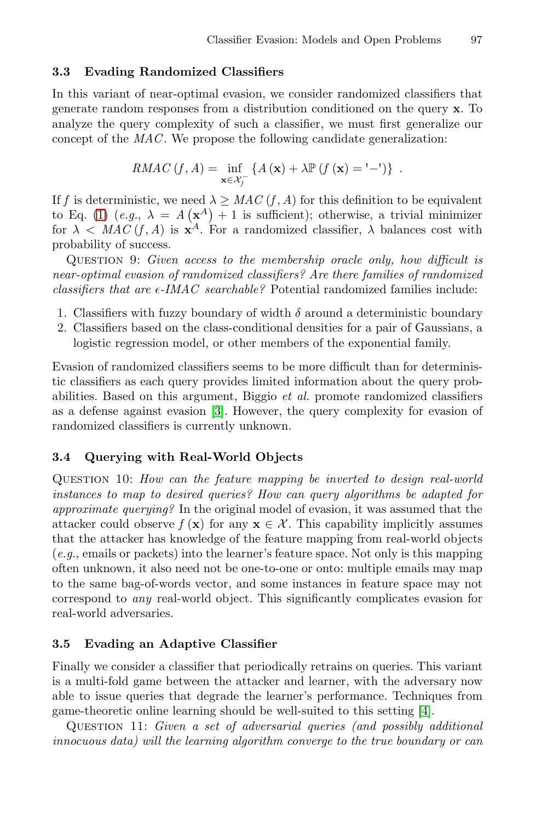#### <span id="page-5-0"></span>**3.3 Evading Randomized Classifiers**

In this variant of near-optimal evasion, we consider randomized classifiers that generate random responses from a distribution conditioned on the query **x**. To analyze the query complexity of such a classifier, we must first generalize our concept of the *MAC*. We propose the following candidate generalization:

$$
RMAC(f, A) = \inf_{\mathbf{x} \in \mathcal{X}_f^-} \left\{ A(\mathbf{x}) + \lambda \mathbb{P}\left(f(\mathbf{x}) = {}^{t-1}\right) \right\}.
$$

If f is deterministic, we need  $\lambda \geq MAC(f, A)$  for this definition to be equivalent to Eq. [\(1\)](#page-1-0)  $(e.g., \lambda = A(\mathbf{x}^A) + 1$  is sufficient); otherwise, a trivial minimizer for  $\lambda < MAC(f, A)$  is  $\mathbf{x}^A$ . For a randomized classifier,  $\lambda$  balances cost with probability of success.

Question 9: *Given access to the membership oracle only, how difficult is near-optimal evasion of randomized classifiers? Are there families of randomized classifiers that are -IMAC searchable?* Potential randomized families include:

- 1. Classifiers with fuzzy boundary of width  $\delta$  around a deterministic boundary
- 2. Classifiers based on the class-conditional densities for a pair of Gaussians, a logistic regression model, or other members of the exponential family.

Evasion of randomized classifiers seems to be more difficult than for deterministic classifiers as each query provides limited information about the query probabilities. Based on this argument, Biggio *et al.* promote randomized classifiers as a defense against evasion [\[3\]](#page-6-5). However, the query complexity for evasion of randomized classifiers is currently unknown.

#### **3.4 Querying with Real-World Objects**

Question 10: *How can the feature mapping be inverted to design real-world instances to map to desired queries? How can query algorithms be adapted for approximate querying?* In the original model of evasion, it was assumed that the attacker could observe  $f(\mathbf{x})$  for any  $\mathbf{x} \in \mathcal{X}$ . This capability implicitly assumes that the attacker has knowledge of the feature mapping from real-world objects (*e.g.*, emails or packets) into the learner's feature space. Not only is this mapping often unknown, it also need not be one-to-one or onto: multiple emails may map to the same bag-of-words vector, and some instances in feature space may not correspond to *any* real-world object. This significantly complicates evasion for real-world adversaries.

### **3.5 Evading an Adaptive Classifier**

Finally we consider a classifier that periodically retrains on queries. This variant is a multi-fold game between the attacker and learner, with the adversary now able to issue queries that degrade the learner's performance. Techniques from game-theoretic online learning should be well-suited to this setting [\[4\]](#page-6-7).

Question 11: *Given a set of adversarial queries (and possibly additional innocuous data) will the learning algorithm converge to the true boundary or can*